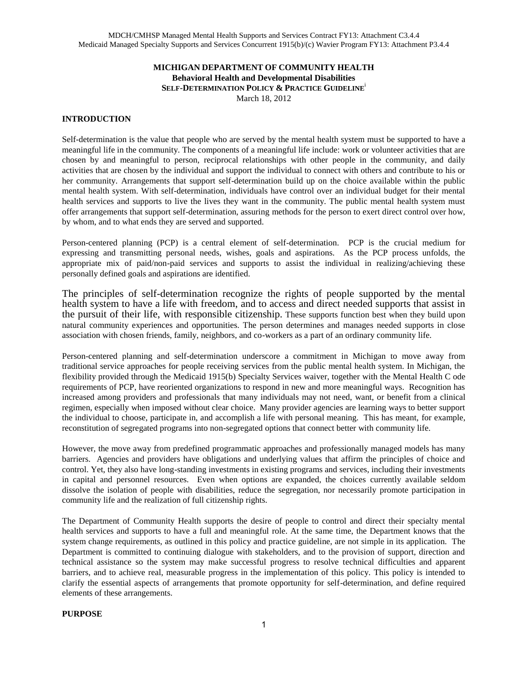## **MICHIGAN DEPARTMENT OF COMMUNITY HEALTH Behavioral Health and Developmental Disabilities SELF-DETERMINATION POLICY & PRACTICE GUIDELINE**<sup>i</sup> March 18, 2012

## **INTRODUCTION**

Self-determination is the value that people who are served by the mental health system must be supported to have a meaningful life in the community. The components of a meaningful life include: work or volunteer activities that are chosen by and meaningful to person, reciprocal relationships with other people in the community, and daily activities that are chosen by the individual and support the individual to connect with others and contribute to his or her community. Arrangements that support self-determination build up on the choice available within the public mental health system. With self-determination, individuals have control over an individual budget for their mental health services and supports to live the lives they want in the community. The public mental health system must offer arrangements that support self-determination, assuring methods for the person to exert direct control over how, by whom, and to what ends they are served and supported.

Person-centered planning (PCP) is a central element of self-determination. PCP is the crucial medium for expressing and transmitting personal needs, wishes, goals and aspirations. As the PCP process unfolds, the appropriate mix of paid/non-paid services and supports to assist the individual in realizing/achieving these personally defined goals and aspirations are identified.

The principles of self-determination recognize the rights of people supported by the mental health system to have a life with freedom, and to access and direct needed supports that assist in the pursuit of their life, with responsible citizenship. These supports function best when they build upon natural community experiences and opportunities. The person determines and manages needed supports in close association with chosen friends, family, neighbors, and co-workers as a part of an ordinary community life.

Person-centered planning and self-determination underscore a commitment in Michigan to move away from traditional service approaches for people receiving services from the public mental health system. In Michigan, the flexibility provided through the Medicaid 1915(b) Specialty Services waiver, together with the Mental Health C ode requirements of PCP, have reoriented organizations to respond in new and more meaningful ways. Recognition has increased among providers and professionals that many individuals may not need, want, or benefit from a clinical regimen, especially when imposed without clear choice. Many provider agencies are learning ways to better support the individual to choose, participate in, and accomplish a life with personal meaning. This has meant, for example, reconstitution of segregated programs into non-segregated options that connect better with community life.

However, the move away from predefined programmatic approaches and professionally managed models has many barriers. Agencies and providers have obligations and underlying values that affirm the principles of choice and control. Yet, they also have long-standing investments in existing programs and services, including their investments in capital and personnel resources. Even when options are expanded, the choices currently available seldom dissolve the isolation of people with disabilities, reduce the segregation, nor necessarily promote participation in community life and the realization of full citizenship rights.

The Department of Community Health supports the desire of people to control and direct their specialty mental health services and supports to have a full and meaningful role. At the same time, the Department knows that the system change requirements, as outlined in this policy and practice guideline, are not simple in its application. The Department is committed to continuing dialogue with stakeholders, and to the provision of support, direction and technical assistance so the system may make successful progress to resolve technical difficulties and apparent barriers, and to achieve real, measurable progress in the implementation of this policy. This policy is intended to clarify the essential aspects of arrangements that promote opportunity for self-determination, and define required elements of these arrangements.

#### **PURPOSE**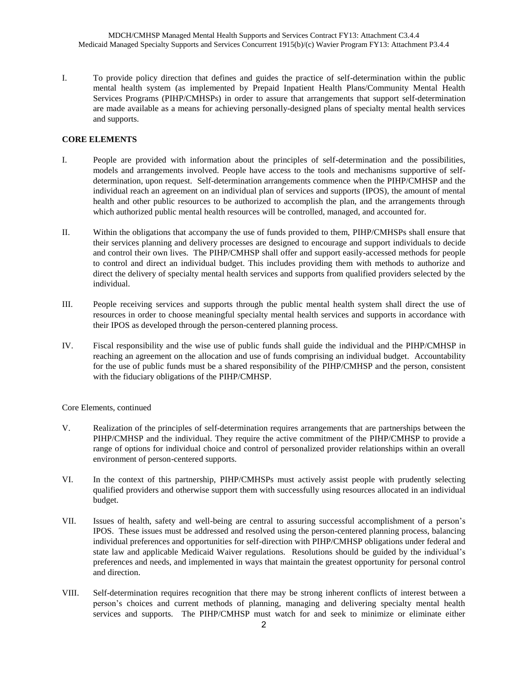I. To provide policy direction that defines and guides the practice of self-determination within the public mental health system (as implemented by Prepaid Inpatient Health Plans/Community Mental Health Services Programs (PIHP/CMHSPs) in order to assure that arrangements that support self-determination are made available as a means for achieving personally-designed plans of specialty mental health services and supports.

### **CORE ELEMENTS**

- I. People are provided with information about the principles of self-determination and the possibilities, models and arrangements involved. People have access to the tools and mechanisms supportive of selfdetermination, upon request. Self-determination arrangements commence when the PIHP/CMHSP and the individual reach an agreement on an individual plan of services and supports (IPOS), the amount of mental health and other public resources to be authorized to accomplish the plan, and the arrangements through which authorized public mental health resources will be controlled, managed, and accounted for.
- II. Within the obligations that accompany the use of funds provided to them, PIHP/CMHSPs shall ensure that their services planning and delivery processes are designed to encourage and support individuals to decide and control their own lives. The PIHP/CMHSP shall offer and support easily-accessed methods for people to control and direct an individual budget. This includes providing them with methods to authorize and direct the delivery of specialty mental health services and supports from qualified providers selected by the individual.
- III. People receiving services and supports through the public mental health system shall direct the use of resources in order to choose meaningful specialty mental health services and supports in accordance with their IPOS as developed through the person-centered planning process.
- IV. Fiscal responsibility and the wise use of public funds shall guide the individual and the PIHP/CMHSP in reaching an agreement on the allocation and use of funds comprising an individual budget. Accountability for the use of public funds must be a shared responsibility of the PIHP/CMHSP and the person, consistent with the fiduciary obligations of the PIHP/CMHSP.

Core Elements, continued

- V. Realization of the principles of self-determination requires arrangements that are partnerships between the PIHP/CMHSP and the individual. They require the active commitment of the PIHP/CMHSP to provide a range of options for individual choice and control of personalized provider relationships within an overall environment of person-centered supports.
- VI. In the context of this partnership, PIHP/CMHSPs must actively assist people with prudently selecting qualified providers and otherwise support them with successfully using resources allocated in an individual budget.
- VII. Issues of health, safety and well-being are central to assuring successful accomplishment of a person's IPOS. These issues must be addressed and resolved using the person-centered planning process, balancing individual preferences and opportunities for self-direction with PIHP/CMHSP obligations under federal and state law and applicable Medicaid Waiver regulations. Resolutions should be guided by the individual's preferences and needs, and implemented in ways that maintain the greatest opportunity for personal control and direction.
- VIII. Self-determination requires recognition that there may be strong inherent conflicts of interest between a person's choices and current methods of planning, managing and delivering specialty mental health services and supports. The PIHP/CMHSP must watch for and seek to minimize or eliminate either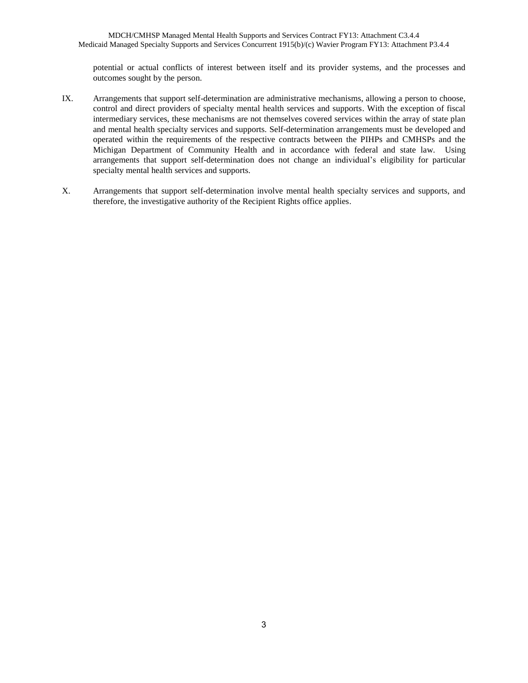potential or actual conflicts of interest between itself and its provider systems, and the processes and outcomes sought by the person.

- IX. Arrangements that support self-determination are administrative mechanisms, allowing a person to choose, control and direct providers of specialty mental health services and supports. With the exception of fiscal intermediary services, these mechanisms are not themselves covered services within the array of state plan and mental health specialty services and supports. Self-determination arrangements must be developed and operated within the requirements of the respective contracts between the PIHPs and CMHSPs and the Michigan Department of Community Health and in accordance with federal and state law. Using arrangements that support self-determination does not change an individual's eligibility for particular specialty mental health services and supports.
- X. Arrangements that support self-determination involve mental health specialty services and supports, and therefore, the investigative authority of the Recipient Rights office applies.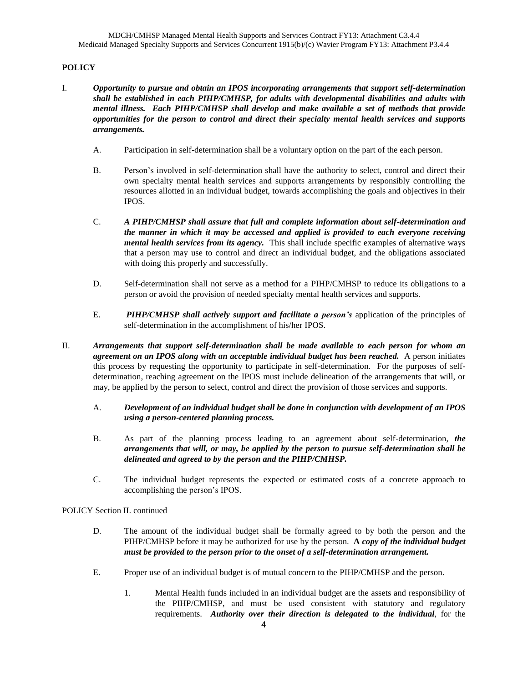# **POLICY**

- I. *Opportunity to pursue and obtain an IPOS incorporating arrangements that support self-determination shall be established in each PIHP/CMHSP, for adults with developmental disabilities and adults with mental illness. Each PIHP/CMHSP shall develop and make available a set of methods that provide opportunities for the person to control and direct their specialty mental health services and supports arrangements.*
	- A. Participation in self-determination shall be a voluntary option on the part of the each person.
	- B. Person's involved in self-determination shall have the authority to select, control and direct their own specialty mental health services and supports arrangements by responsibly controlling the resources allotted in an individual budget, towards accomplishing the goals and objectives in their IPOS.
	- C. *A PIHP/CMHSP shall assure that full and complete information about self-determination and the manner in which it may be accessed and applied is provided to each everyone receiving mental health services from its agency.* This shall include specific examples of alternative ways that a person may use to control and direct an individual budget, and the obligations associated with doing this properly and successfully.
	- D. Self-determination shall not serve as a method for a PIHP/CMHSP to reduce its obligations to a person or avoid the provision of needed specialty mental health services and supports.
	- E. *PIHP/CMHSP shall actively support and facilitate a person's* application of the principles of self-determination in the accomplishment of his/her IPOS.
- II. *Arrangements that support self-determination shall be made available to each person for whom an agreement on an IPOS along with an acceptable individual budget has been reached.* A person initiates this process by requesting the opportunity to participate in self-determination. For the purposes of selfdetermination, reaching agreement on the IPOS must include delineation of the arrangements that will, or may, be applied by the person to select, control and direct the provision of those services and supports.
	- A. *Development of an individual budget shall be done in conjunction with development of an IPOS using a person-centered planning process.*
	- B. As part of the planning process leading to an agreement about self-determination, *the arrangements that will, or may, be applied by the person to pursue self-determination shall be delineated and agreed to by the person and the PIHP/CMHSP.*
	- C. The individual budget represents the expected or estimated costs of a concrete approach to accomplishing the person's IPOS.

POLICY Section II. continued

- D. The amount of the individual budget shall be formally agreed to by both the person and the PIHP/CMHSP before it may be authorized for use by the person. **A** *copy of the individual budget must be provided to the person prior to the onset of a self-determination arrangement.*
- E. Proper use of an individual budget is of mutual concern to the PIHP/CMHSP and the person.
	- 1. Mental Health funds included in an individual budget are the assets and responsibility of the PIHP/CMHSP, and must be used consistent with statutory and regulatory requirements. *Authority over their direction is delegated to the individual*, for the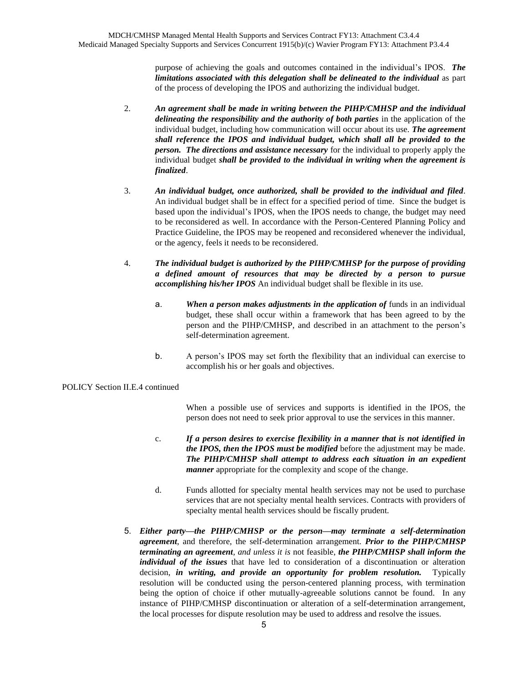purpose of achieving the goals and outcomes contained in the individual's IPOS. *The limitations associated with this delegation shall be delineated to the individual* as part of the process of developing the IPOS and authorizing the individual budget.

- 2. *An agreement shall be made in writing between the PIHP/CMHSP and the individual delineating the responsibility and the authority of both parties* in the application of the individual budget, including how communication will occur about its use. *The agreement shall reference the IPOS and individual budget, which shall all be provided to the person. The directions and assistance necessary* for the individual to properly apply the individual budget *shall be provided to the individual in writing when the agreement is finalized*.
- 3. *An individual budget, once authorized, shall be provided to the individual and filed*. An individual budget shall be in effect for a specified period of time. Since the budget is based upon the individual's IPOS, when the IPOS needs to change, the budget may need to be reconsidered as well. In accordance with the Person-Centered Planning Policy and Practice Guideline, the IPOS may be reopened and reconsidered whenever the individual, or the agency, feels it needs to be reconsidered.
- 4. *The individual budget is authorized by the PIHP/CMHSP for the purpose of providing a defined amount of resources that may be directed by a person to pursue accomplishing his/her IPOS* An individual budget shall be flexible in its use.
	- a. *When a person makes adjustments in the application of* funds in an individual budget, these shall occur within a framework that has been agreed to by the person and the PIHP/CMHSP, and described in an attachment to the person's self-determination agreement.
	- b. A person's IPOS may set forth the flexibility that an individual can exercise to accomplish his or her goals and objectives.

## POLICY Section II.E.4 continued

When a possible use of services and supports is identified in the IPOS, the person does not need to seek prior approval to use the services in this manner.

- c. *If a person desires to exercise flexibility in a manner that is not identified in the IPOS, then the IPOS must be modified* before the adjustment may be made. *The PIHP/CMHSP shall attempt to address each situation in an expedient manner* appropriate for the complexity and scope of the change.
- d. Funds allotted for specialty mental health services may not be used to purchase services that are not specialty mental health services. Contracts with providers of specialty mental health services should be fiscally prudent.
- 5. *Either party—the PIHP/CMHSP or the person—may terminate a self-determination agreement*, and therefore, the self-determination arrangement*. Prior to the PIHP/CMHSP terminating an agreement, and unless it is* not feasible, *the PIHP/CMHSP shall inform the individual of the issues* that have led to consideration of a discontinuation or alteration decision, *in writing, and provide an opportunity for problem resolution.* Typically resolution will be conducted using the person-centered planning process, with termination being the option of choice if other mutually-agreeable solutions cannot be found. In any instance of PIHP/CMHSP discontinuation or alteration of a self-determination arrangement, the local processes for dispute resolution may be used to address and resolve the issues.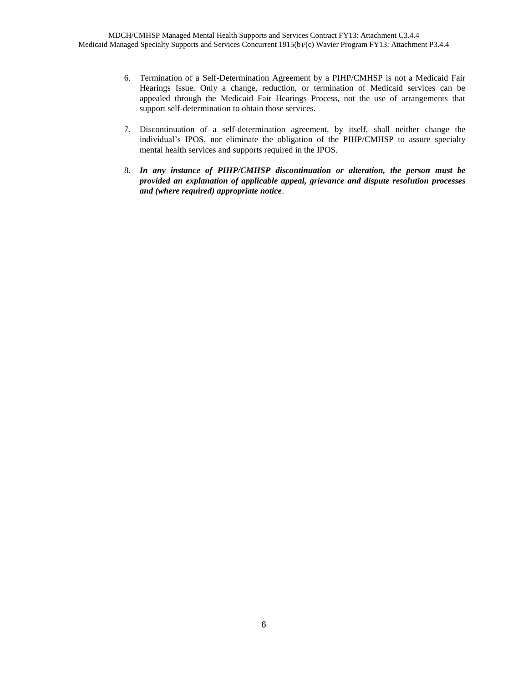- 6. Termination of a Self-Determination Agreement by a PIHP/CMHSP is not a Medicaid Fair Hearings Issue. Only a change, reduction, or termination of Medicaid services can be appealed through the Medicaid Fair Hearings Process, not the use of arrangements that support self-determination to obtain those services.
- 7. Discontinuation of a self-determination agreement, by itself, shall neither change the individual's IPOS, nor eliminate the obligation of the PIHP/CMHSP to assure specialty mental health services and supports required in the IPOS.
- 8. *In any instance of PIHP/CMHSP discontinuation or alteration, the person must be provided an explanation of applicable appeal, grievance and dispute resolution processes and (where required) appropriate notice*.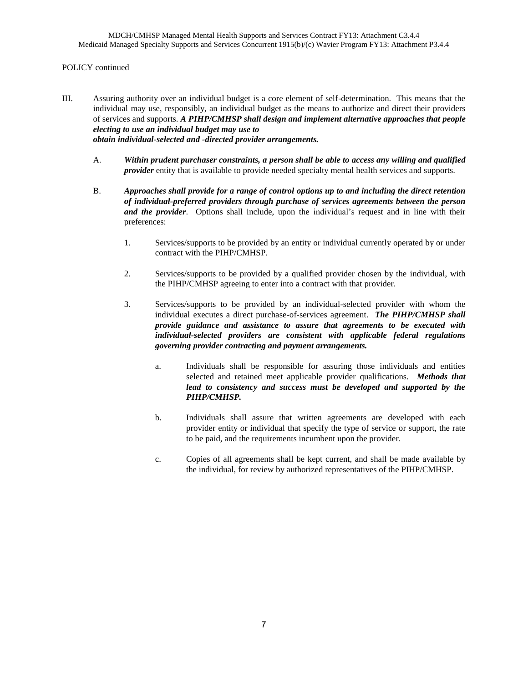### POLICY continued

- III. Assuring authority over an individual budget is a core element of self-determination. This means that the individual may use, responsibly, an individual budget as the means to authorize and direct their providers of services and supports. *A PIHP/CMHSP shall design and implement alternative approaches that people electing to use an individual budget may use to obtain individual-selected and -directed provider arrangements.*
	- A. *Within prudent purchaser constraints, a person shall be able to access any willing and qualified provider* entity that is available to provide needed specialty mental health services and supports.
	- B. *Approaches shall provide for a range of control options up to and including the direct retention of individual-preferred providers through purchase of services agreements between the person and the provider*. Options shall include, upon the individual's request and in line with their preferences:
		- 1. Services/supports to be provided by an entity or individual currently operated by or under contract with the PIHP/CMHSP.
		- 2. Services/supports to be provided by a qualified provider chosen by the individual, with the PIHP/CMHSP agreeing to enter into a contract with that provider.
		- 3. Services/supports to be provided by an individual-selected provider with whom the individual executes a direct purchase-of-services agreement. *The PIHP/CMHSP shall provide guidance and assistance to assure that agreements to be executed with individual-selected providers are consistent with applicable federal regulations governing provider contracting and payment arrangements.*
			- a. Individuals shall be responsible for assuring those individuals and entities selected and retained meet applicable provider qualifications. *Methods that lead to consistency and success must be developed and supported by the PIHP/CMHSP.*
			- b. Individuals shall assure that written agreements are developed with each provider entity or individual that specify the type of service or support, the rate to be paid, and the requirements incumbent upon the provider.
			- c. Copies of all agreements shall be kept current, and shall be made available by the individual, for review by authorized representatives of the PIHP/CMHSP.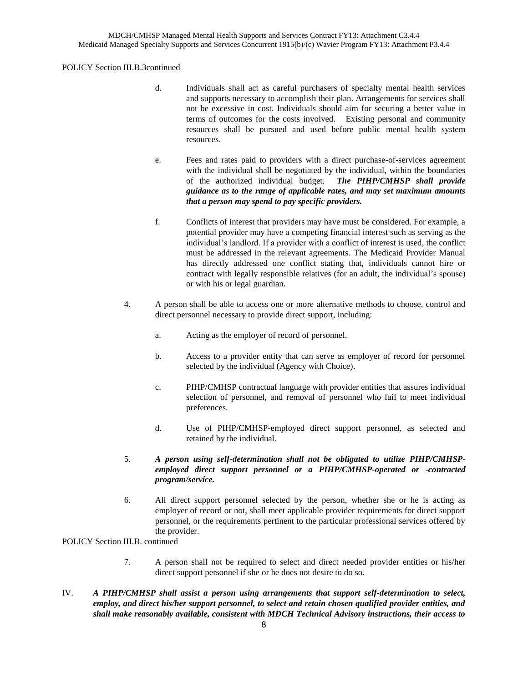### POLICY Section III.B.3continued

- d. Individuals shall act as careful purchasers of specialty mental health services and supports necessary to accomplish their plan. Arrangements for services shall not be excessive in cost. Individuals should aim for securing a better value in terms of outcomes for the costs involved. Existing personal and community resources shall be pursued and used before public mental health system resources.
- e. Fees and rates paid to providers with a direct purchase-of-services agreement with the individual shall be negotiated by the individual, within the boundaries of the authorized individual budget. *The PIHP/CMHSP shall provide guidance as to the range of applicable rates, and may set maximum amounts that a person may spend to pay specific providers.*
- f. Conflicts of interest that providers may have must be considered. For example, a potential provider may have a competing financial interest such as serving as the individual's landlord. If a provider with a conflict of interest is used, the conflict must be addressed in the relevant agreements. The Medicaid Provider Manual has directly addressed one conflict stating that, individuals cannot hire or contract with legally responsible relatives (for an adult, the individual's spouse) or with his or legal guardian.
- 4. A person shall be able to access one or more alternative methods to choose, control and direct personnel necessary to provide direct support, including:
	- a. Acting as the employer of record of personnel.
	- b. Access to a provider entity that can serve as employer of record for personnel selected by the individual (Agency with Choice).
	- c. PIHP/CMHSP contractual language with provider entities that assures individual selection of personnel, and removal of personnel who fail to meet individual preferences.
	- d. Use of PIHP/CMHSP-employed direct support personnel, as selected and retained by the individual.
- 5. *A person using self-determination shall not be obligated to utilize PIHP/CMHSPemployed direct support personnel or a PIHP/CMHSP-operated or -contracted program/service.*
- 6. All direct support personnel selected by the person, whether she or he is acting as employer of record or not, shall meet applicable provider requirements for direct support personnel, or the requirements pertinent to the particular professional services offered by the provider.

POLICY Section III.B. continued

- 7. A person shall not be required to select and direct needed provider entities or his/her direct support personnel if she or he does not desire to do so.
- IV. *A PIHP/CMHSP shall assist a person using arrangements that support self-determination to select, employ, and direct his/her support personnel, to select and retain chosen qualified provider entities, and shall make reasonably available, consistent with MDCH Technical Advisory instructions, their access to*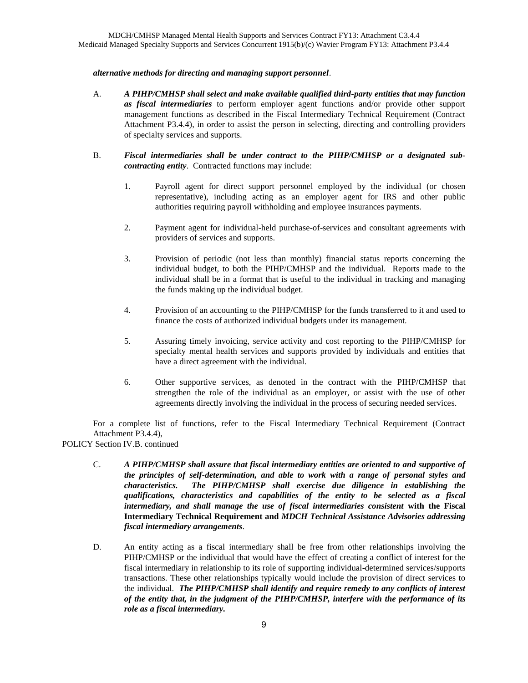### *alternative methods for directing and managing support personnel*.

- A. *A PIHP/CMHSP shall select and make available qualified third-party entities that may function as fiscal intermediaries* to perform employer agent functions and/or provide other support management functions as described in the Fiscal Intermediary Technical Requirement (Contract Attachment P3.4.4), in order to assist the person in selecting, directing and controlling providers of specialty services and supports.
- B. *Fiscal intermediaries shall be under contract to the PIHP/CMHSP or a designated subcontracting entity*. Contracted functions may include:
	- 1. Payroll agent for direct support personnel employed by the individual (or chosen representative), including acting as an employer agent for IRS and other public authorities requiring payroll withholding and employee insurances payments.
	- 2. Payment agent for individual-held purchase-of-services and consultant agreements with providers of services and supports.
	- 3. Provision of periodic (not less than monthly) financial status reports concerning the individual budget, to both the PIHP/CMHSP and the individual. Reports made to the individual shall be in a format that is useful to the individual in tracking and managing the funds making up the individual budget.
	- 4. Provision of an accounting to the PIHP/CMHSP for the funds transferred to it and used to finance the costs of authorized individual budgets under its management.
	- 5. Assuring timely invoicing, service activity and cost reporting to the PIHP/CMHSP for specialty mental health services and supports provided by individuals and entities that have a direct agreement with the individual.
	- 6. Other supportive services, as denoted in the contract with the PIHP/CMHSP that strengthen the role of the individual as an employer, or assist with the use of other agreements directly involving the individual in the process of securing needed services.

For a complete list of functions, refer to the Fiscal Intermediary Technical Requirement (Contract Attachment P3.4.4),

POLICY Section IV.B. continued

- C. *A PIHP/CMHSP shall assure that fiscal intermediary entities are oriented to and supportive of the principles of self-determination, and able to work with a range of personal styles and characteristics. The PIHP/CMHSP shall exercise due diligence in establishing the qualifications, characteristics and capabilities of the entity to be selected as a fiscal intermediary, and shall manage the use of fiscal intermediaries consistent* **with the Fiscal Intermediary Technical Requirement and** *MDCH Technical Assistance Advisories addressing fiscal intermediary arrangements*.
- D. An entity acting as a fiscal intermediary shall be free from other relationships involving the PIHP/CMHSP or the individual that would have the effect of creating a conflict of interest for the fiscal intermediary in relationship to its role of supporting individual-determined services/supports transactions. These other relationships typically would include the provision of direct services to the individual. *The PIHP/CMHSP shall identify and require remedy to any conflicts of interest of the entity that, in the judgment of the PIHP/CMHSP, interfere with the performance of its role as a fiscal intermediary.*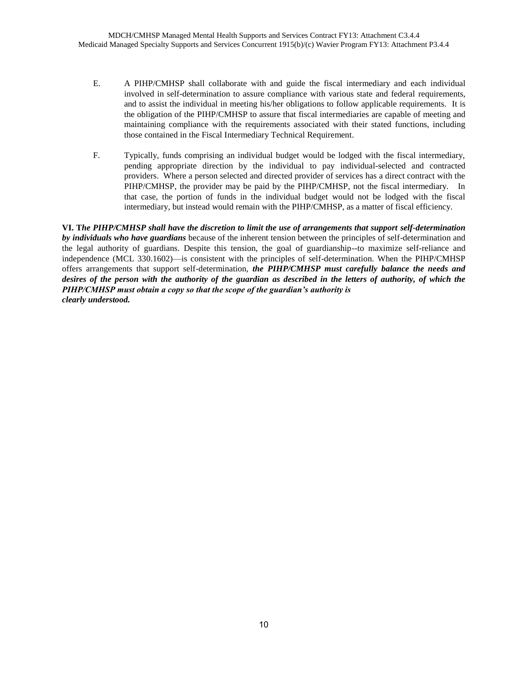- E. A PIHP/CMHSP shall collaborate with and guide the fiscal intermediary and each individual involved in self-determination to assure compliance with various state and federal requirements, and to assist the individual in meeting his/her obligations to follow applicable requirements. It is the obligation of the PIHP/CMHSP to assure that fiscal intermediaries are capable of meeting and maintaining compliance with the requirements associated with their stated functions, including those contained in the Fiscal Intermediary Technical Requirement.
- F. Typically, funds comprising an individual budget would be lodged with the fiscal intermediary, pending appropriate direction by the individual to pay individual-selected and contracted providers. Where a person selected and directed provider of services has a direct contract with the PIHP/CMHSP, the provider may be paid by the PIHP/CMHSP, not the fiscal intermediary. In that case, the portion of funds in the individual budget would not be lodged with the fiscal intermediary, but instead would remain with the PIHP/CMHSP, as a matter of fiscal efficiency.

**VI. T***he PIHP/CMHSP shall have the discretion to limit the use of arrangements that support self-determination by individuals who have guardians* because of the inherent tension between the principles of self-determination and the legal authority of guardians. Despite this tension, the goal of guardianship--to maximize self-reliance and independence (MCL 330.1602)—is consistent with the principles of self-determination. When the PIHP/CMHSP offers arrangements that support self-determination, *the PIHP/CMHSP must carefully balance the needs and desires of the person with the authority of the guardian as described in the letters of authority, of which the PIHP/CMHSP must obtain a copy so that the scope of the guardian's authority is clearly understood.*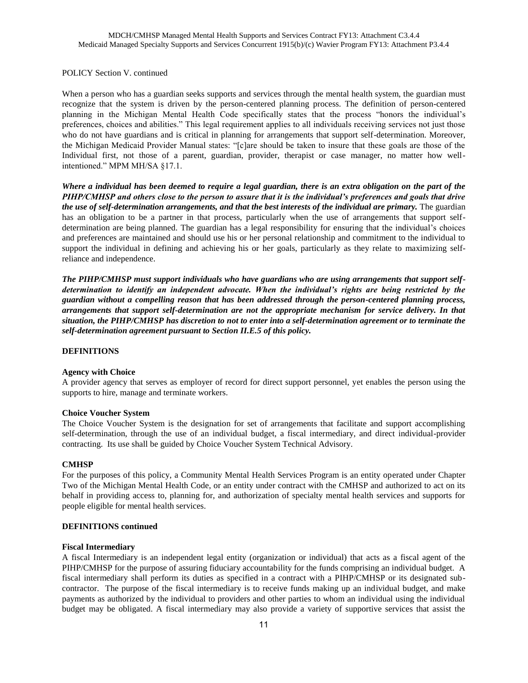POLICY Section V. continued

When a person who has a guardian seeks supports and services through the mental health system, the guardian must recognize that the system is driven by the person-centered planning process. The definition of person-centered planning in the Michigan Mental Health Code specifically states that the process "honors the individual's preferences, choices and abilities." This legal requirement applies to all individuals receiving services not just those who do not have guardians and is critical in planning for arrangements that support self-determination. Moreover, the Michigan Medicaid Provider Manual states: "[c]are should be taken to insure that these goals are those of the Individual first, not those of a parent, guardian, provider, therapist or case manager, no matter how wellintentioned." MPM MH/SA §17.1.

*Where a individual has been deemed to require a legal guardian, there is an extra obligation on the part of the PIHP/CMHSP and others close to the person to assure that it is the individual's preferences and goals that drive the use of self-determination arrangements, and that the best interests of the individual are primary.* The guardian has an obligation to be a partner in that process, particularly when the use of arrangements that support selfdetermination are being planned. The guardian has a legal responsibility for ensuring that the individual's choices and preferences are maintained and should use his or her personal relationship and commitment to the individual to support the individual in defining and achieving his or her goals, particularly as they relate to maximizing selfreliance and independence.

*The PIHP/CMHSP must support individuals who have guardians who are using arrangements that support selfdetermination to identify an independent advocate. When the individual's rights are being restricted by the guardian without a compelling reason that has been addressed through the person-centered planning process, arrangements that support self-determination are not the appropriate mechanism for service delivery. In that situation, the PIHP/CMHSP has discretion to not to enter into a self-determination agreement or to terminate the self-determination agreement pursuant to Section II.E.5 of this policy.*

### **DEFINITIONS**

#### **Agency with Choice**

A provider agency that serves as employer of record for direct support personnel, yet enables the person using the supports to hire, manage and terminate workers.

#### **Choice Voucher System**

The Choice Voucher System is the designation for set of arrangements that facilitate and support accomplishing self-determination, through the use of an individual budget, a fiscal intermediary, and direct individual-provider contracting. Its use shall be guided by Choice Voucher System Technical Advisory.

#### **CMHSP**

For the purposes of this policy, a Community Mental Health Services Program is an entity operated under Chapter Two of the Michigan Mental Health Code, or an entity under contract with the CMHSP and authorized to act on its behalf in providing access to, planning for, and authorization of specialty mental health services and supports for people eligible for mental health services.

#### **DEFINITIONS continued**

#### **Fiscal Intermediary**

A fiscal Intermediary is an independent legal entity (organization or individual) that acts as a fiscal agent of the PIHP/CMHSP for the purpose of assuring fiduciary accountability for the funds comprising an individual budget. A fiscal intermediary shall perform its duties as specified in a contract with a PIHP/CMHSP or its designated subcontractor. The purpose of the fiscal intermediary is to receive funds making up an individual budget, and make payments as authorized by the individual to providers and other parties to whom an individual using the individual budget may be obligated. A fiscal intermediary may also provide a variety of supportive services that assist the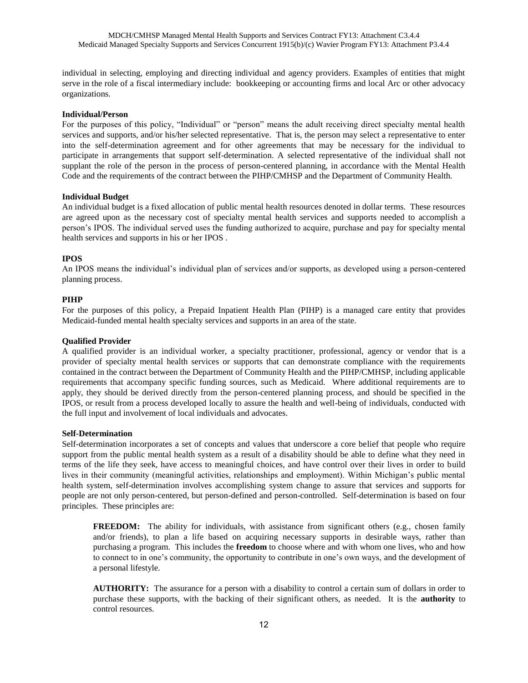individual in selecting, employing and directing individual and agency providers. Examples of entities that might serve in the role of a fiscal intermediary include: bookkeeping or accounting firms and local Arc or other advocacy organizations.

#### **Individual/Person**

For the purposes of this policy, "Individual" or "person" means the adult receiving direct specialty mental health services and supports, and/or his/her selected representative. That is, the person may select a representative to enter into the self-determination agreement and for other agreements that may be necessary for the individual to participate in arrangements that support self-determination. A selected representative of the individual shall not supplant the role of the person in the process of person-centered planning, in accordance with the Mental Health Code and the requirements of the contract between the PIHP/CMHSP and the Department of Community Health.

#### **Individual Budget**

An individual budget is a fixed allocation of public mental health resources denoted in dollar terms. These resources are agreed upon as the necessary cost of specialty mental health services and supports needed to accomplish a person's IPOS. The individual served uses the funding authorized to acquire, purchase and pay for specialty mental health services and supports in his or her IPOS .

#### **IPOS**

An IPOS means the individual's individual plan of services and/or supports, as developed using a person-centered planning process.

#### **PIHP**

For the purposes of this policy, a Prepaid Inpatient Health Plan (PIHP) is a managed care entity that provides Medicaid-funded mental health specialty services and supports in an area of the state.

#### **Qualified Provider**

A qualified provider is an individual worker, a specialty practitioner, professional, agency or vendor that is a provider of specialty mental health services or supports that can demonstrate compliance with the requirements contained in the contract between the Department of Community Health and the PIHP/CMHSP, including applicable requirements that accompany specific funding sources, such as Medicaid. Where additional requirements are to apply, they should be derived directly from the person-centered planning process, and should be specified in the IPOS, or result from a process developed locally to assure the health and well-being of individuals, conducted with the full input and involvement of local individuals and advocates.

#### **Self-Determination**

Self-determination incorporates a set of concepts and values that underscore a core belief that people who require support from the public mental health system as a result of a disability should be able to define what they need in terms of the life they seek, have access to meaningful choices, and have control over their lives in order to build lives in their community (meaningful activities, relationships and employment). Within Michigan's public mental health system, self-determination involves accomplishing system change to assure that services and supports for people are not only person-centered, but person-defined and person-controlled. Self-determination is based on four principles. These principles are:

**FREEDOM:** The ability for individuals, with assistance from significant others (e.g., chosen family and/or friends), to plan a life based on acquiring necessary supports in desirable ways, rather than purchasing a program. This includes the **freedom** to choose where and with whom one lives, who and how to connect to in one's community, the opportunity to contribute in one's own ways, and the development of a personal lifestyle.

**AUTHORITY:** The assurance for a person with a disability to control a certain sum of dollars in order to purchase these supports, with the backing of their significant others, as needed. It is the **authority** to control resources.